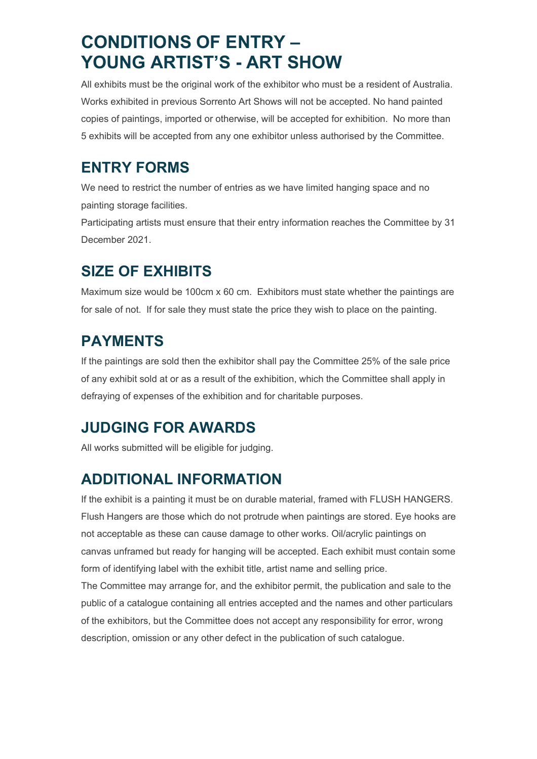# **CONDITIONS OF ENTRY – YOUNG ARTIST'S - ART SHOW**

All exhibits must be the original work of the exhibitor who must be a resident of Australia. Works exhibited in previous Sorrento Art Shows will not be accepted. No hand painted copies of paintings, imported or otherwise, will be accepted for exhibition. No more than 5 exhibits will be accepted from any one exhibitor unless authorised by the Committee.

#### **ENTRY FORMS**

We need to restrict the number of entries as we have limited hanging space and no painting storage facilities.

Participating artists must ensure that their entry information reaches the Committee by 31 December 2021.

## **SIZE OF EXHIBITS**

Maximum size would be 100cm x 60 cm. Exhibitors must state whether the paintings are for sale of not. If for sale they must state the price they wish to place on the painting.

## **PAYMENTS**

If the paintings are sold then the exhibitor shall pay the Committee 25% of the sale price of any exhibit sold at or as a result of the exhibition, which the Committee shall apply in defraying of expenses of the exhibition and for charitable purposes.

## **JUDGING FOR AWARDS**

All works submitted will be eligible for judging.

## **ADDITIONAL INFORMATION**

If the exhibit is a painting it must be on durable material, framed with FLUSH HANGERS. Flush Hangers are those which do not protrude when paintings are stored. Eye hooks are not acceptable as these can cause damage to other works. Oil/acrylic paintings on canvas unframed but ready for hanging will be accepted. Each exhibit must contain some form of identifying label with the exhibit title, artist name and selling price.

The Committee may arrange for, and the exhibitor permit, the publication and sale to the public of a catalogue containing all entries accepted and the names and other particulars of the exhibitors, but the Committee does not accept any responsibility for error, wrong description, omission or any other defect in the publication of such catalogue.